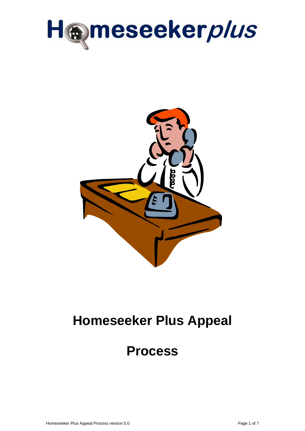



# **Homeseeker Plus Appeal**

# **Process**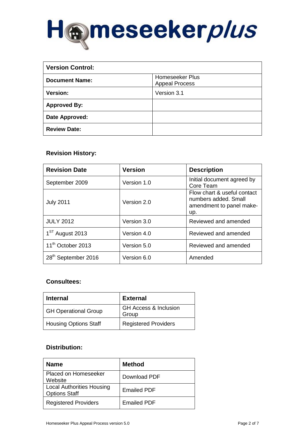

| <b>Version Control:</b> |                                          |  |  |
|-------------------------|------------------------------------------|--|--|
| <b>Document Name:</b>   | Homeseeker Plus<br><b>Appeal Process</b> |  |  |
| Version:                | Version 3.1                              |  |  |
| <b>Approved By:</b>     |                                          |  |  |
| Date Approved:          |                                          |  |  |
| <b>Review Date:</b>     |                                          |  |  |

### **Revision History:**

| <b>Revision Date</b>            | <b>Version</b> | <b>Description</b>                                                                     |  |
|---------------------------------|----------------|----------------------------------------------------------------------------------------|--|
| September 2009                  | Version 1.0    | Initial document agreed by<br>Core Team                                                |  |
| <b>July 2011</b>                | Version 2.0    | Flow chart & useful contact<br>numbers added. Small<br>amendment to panel make-<br>up. |  |
| <b>JULY 2012</b>                | Version 3.0    | Reviewed and amended                                                                   |  |
| 1 <sup>ST</sup> August 2013     | Version 4.0    | Reviewed and amended                                                                   |  |
| 11 <sup>th</sup> October 2013   | Version 5.0    | Reviewed and amended                                                                   |  |
| 28 <sup>th</sup> September 2016 | Version 6.0    | Amended                                                                                |  |

### **Consultees:**

| <b>Internal</b>              | <b>External</b>                           |
|------------------------------|-------------------------------------------|
| <b>GH Operational Group</b>  | <b>GH Access &amp; Inclusion</b><br>Group |
| <b>Housing Options Staff</b> | <b>Registered Providers</b>               |

## **Distribution:**

| <b>Name</b>                                              | <b>Method</b>      |
|----------------------------------------------------------|--------------------|
| Placed on Homeseeker<br>Website                          | Download PDF       |
| <b>Local Authorities Housing</b><br><b>Options Staff</b> | <b>Emailed PDF</b> |
| <b>Registered Providers</b>                              | <b>Emailed PDF</b> |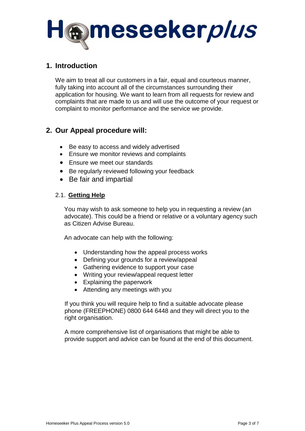

## **1. Introduction**

We aim to treat all our customers in a fair, equal and courteous manner, fully taking into account all of the circumstances surrounding their application for housing. We want to learn from all requests for review and complaints that are made to us and will use the outcome of your request or complaint to monitor performance and the service we provide.

# **2. Our Appeal procedure will:**

- Be easy to access and widely advertised
- Ensure we monitor reviews and complaints
- Ensure we meet our standards
- Be regularly reviewed following your feedback
- Be fair and impartial

## 2.1. **Getting Help**

You may wish to ask someone to help you in requesting a review (an advocate). This could be a friend or relative or a voluntary agency such as Citizen Advise Bureau.

An advocate can help with the following:

- Understanding how the appeal process works
- Defining your grounds for a review/appeal
- Gathering evidence to support your case
- Writing your review/appeal request letter
- Explaining the paperwork
- Attending any meetings with you

If you think you will require help to find a suitable advocate please phone (FREEPHONE) 0800 644 6448 and they will direct you to the right organisation.

A more comprehensive list of organisations that might be able to provide support and advice can be found at the end of this document.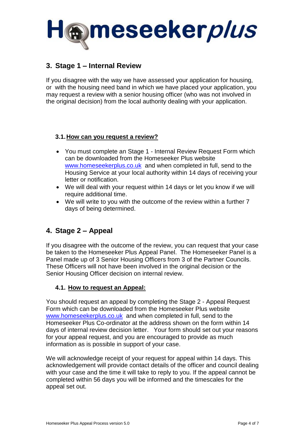

## **3. Stage 1 – Internal Review**

If you disagree with the way we have assessed your application for housing, or with the housing need band in which we have placed your application, you may request a review with a senior housing officer (who was not involved in the original decision) from the local authority dealing with your application.

## **3.1.How can you request a review?**

- You must complete an Stage 1 Internal Review Request Form which can be downloaded from the Homeseeker Plus website [www.homeseekerplus.co.uk](http://www.homeseekerplus.co.uk/) and when completed in full, send to the Housing Service at your local authority within 14 days of receiving your letter or notification.
- We will deal with your request within 14 days or let you know if we will require additional time.
- We will write to you with the outcome of the review within a further 7 days of being determined.

# **4. Stage 2 – Appeal**

If you disagree with the outcome of the review, you can request that your case be taken to the Homeseeker Plus Appeal Panel. The Homeseeker Panel is a Panel made up of 3 Senior Housing Officers from 3 of the Partner Councils. These Officers will not have been involved in the original decision or the Senior Housing Officer decision on internal review.

### **4.1. How to request an Appeal:**

You should request an appeal by completing the Stage 2 - Appeal Request Form which can be downloaded from the Homeseeker Plus website [www.homeseekerplus.co.uk](http://www.homeseekerplus.co.uk/) and when completed in full, send to the Homeseeker Plus Co-ordinator at the address shown on the form within 14 days of internal review decision letter. Your form should set out your reasons for your appeal request, and you are encouraged to provide as much information as is possible in support of your case.

We will acknowledge receipt of your request for appeal within 14 days. This acknowledgement will provide contact details of the officer and council dealing with your case and the time it will take to reply to you. If the appeal cannot be completed within 56 days you will be informed and the timescales for the appeal set out.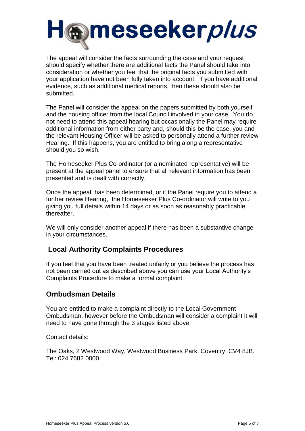

The appeal will consider the facts surrounding the case and your request should specify whether there are additional facts the Panel should take into consideration or whether you feel that the original facts you submitted with your application have not been fully taken into account. If you have additional evidence, such as additional medical reports, then these should also be submitted.

The Panel will consider the appeal on the papers submitted by both yourself and the housing officer from the local Council involved in your case. You do not need to attend this appeal hearing but occasionally the Panel may require additional information from either party and, should this be the case, you and the relevant Housing Officer will be asked to personally attend a further review Hearing. If this happens, you are entitled to bring along a representative should you so wish.

The Homeseeker Plus Co-ordinator (or a nominated representative) will be present at the appeal panel to ensure that all relevant information has been presented and is dealt with correctly.

Once the appeal has been determined, or if the Panel require you to attend a further review Hearing, the Homeseeker Plus Co-ordinator will write to you giving you full details within 14 days or as soon as reasonably practicable thereafter.

We will only consider another appeal if there has been a substantive change in your circumstances.

# **Local Authority Complaints Procedures**

If you feel that you have been treated unfairly or you believe the process has not been carried out as described above you can use your Local Authority's Complaints Procedure to make a formal complaint.

# **Ombudsman Details**

You are entitled to make a complaint directly to the Local Government Ombudsman, however before the Ombudsman will consider a complaint it will need to have gone through the 3 stages listed above.

Contact details:

The Oaks, 2 Westwood Way, Westwood Business Park, Coventry, CV4 8JB. Tel: 024 7682 0000.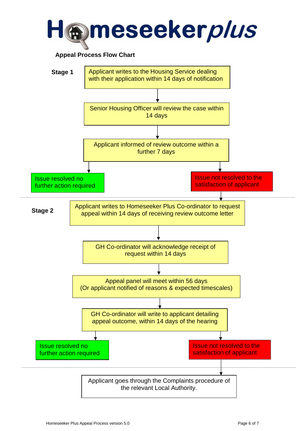